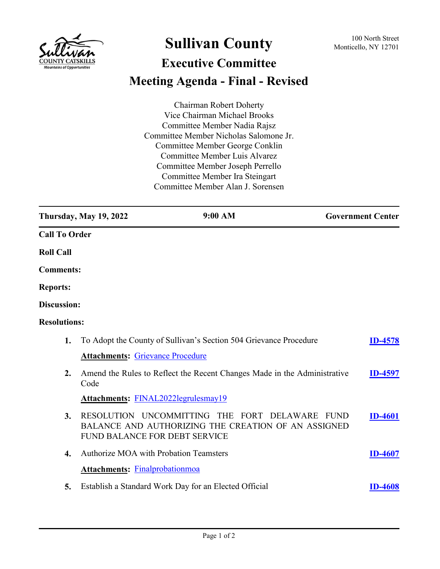

## **Sullivan County** 100 North Street 100 North Street

## **Executive Committee Meeting Agenda - Final - Revised**

Chairman Robert Doherty Vice Chairman Michael Brooks Committee Member Nadia Rajsz Committee Member Nicholas Salomone Jr. Committee Member George Conklin Committee Member Luis Alvarez Committee Member Joseph Perrello Committee Member Ira Steingart Committee Member Alan J. Sorensen

|                      | <b>Thursday, May 19, 2022</b>                 | 9:00 AM                                                                                               | <b>Government Center</b> |
|----------------------|-----------------------------------------------|-------------------------------------------------------------------------------------------------------|--------------------------|
| <b>Call To Order</b> |                                               |                                                                                                       |                          |
| <b>Roll Call</b>     |                                               |                                                                                                       |                          |
| <b>Comments:</b>     |                                               |                                                                                                       |                          |
| <b>Reports:</b>      |                                               |                                                                                                       |                          |
| Discussion:          |                                               |                                                                                                       |                          |
| <b>Resolutions:</b>  |                                               |                                                                                                       |                          |
| 1.                   |                                               | To Adopt the County of Sullivan's Section 504 Grievance Procedure                                     | <b>ID-4578</b>           |
|                      | <b>Attachments: Grievance Procedure</b>       |                                                                                                       |                          |
| 2.                   | Code                                          | Amend the Rules to Reflect the Recent Changes Made in the Administrative                              | <b>ID-4597</b>           |
|                      | Attachments: FINAL2022legrulesmay19           |                                                                                                       |                          |
| 3.                   | FUND BALANCE FOR DEBT SERVICE                 | RESOLUTION UNCOMMITTING THE FORT DELAWARE FUND<br>BALANCE AND AUTHORIZING THE CREATION OF AN ASSIGNED | <b>ID-4601</b>           |
| 4.                   | <b>Authorize MOA with Probation Teamsters</b> |                                                                                                       | <b>ID-4607</b>           |
|                      | <b>Attachments: Finalprobationmoa</b>         |                                                                                                       |                          |
| 5.                   |                                               | Establish a Standard Work Day for an Elected Official                                                 | <b>ID-4608</b>           |